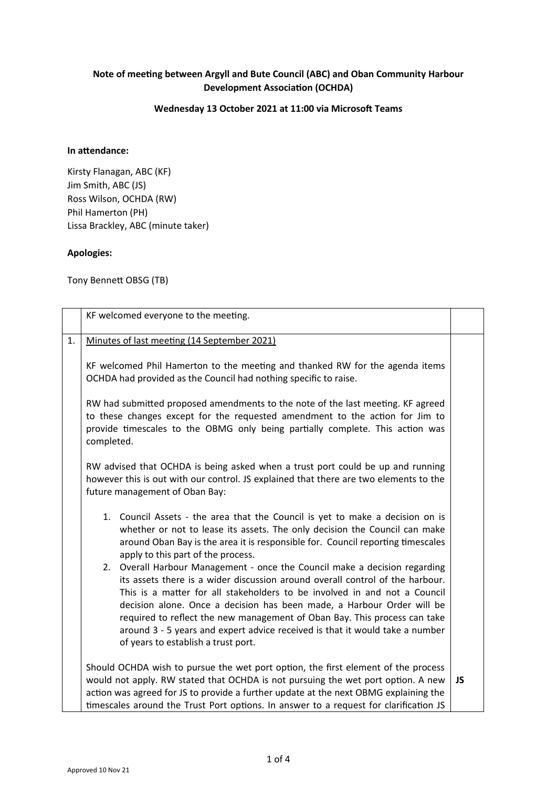# **Note of meeting between Argyll and Bute Council (ABC) and Oban Community Harbour Development Association (OCHDA)**

## **Wednesday 13 October 2021 at 11:00 via Microsoft Teams**

## **In attendance:**

Kirsty Flanagan, ABC (KF) Jim Smith, ABC (JS) Ross Wilson, OCHDA (RW) Phil Hamerton (PH) Lissa Brackley, ABC (minute taker)

### **Apologies:**

Tony Bennett OBSG (TB)

|    | KF welcomed everyone to the meeting.                                                                                                                                                                                                                                                                                                                                                                                                                                                                                   |           |
|----|------------------------------------------------------------------------------------------------------------------------------------------------------------------------------------------------------------------------------------------------------------------------------------------------------------------------------------------------------------------------------------------------------------------------------------------------------------------------------------------------------------------------|-----------|
| 1. | Minutes of last meeting (14 September 2021)                                                                                                                                                                                                                                                                                                                                                                                                                                                                            |           |
|    | KF welcomed Phil Hamerton to the meeting and thanked RW for the agenda items<br>OCHDA had provided as the Council had nothing specific to raise.                                                                                                                                                                                                                                                                                                                                                                       |           |
|    | RW had submitted proposed amendments to the note of the last meeting. KF agreed<br>to these changes except for the requested amendment to the action for Jim to<br>provide timescales to the OBMG only being partially complete. This action was<br>completed.                                                                                                                                                                                                                                                         |           |
|    | RW advised that OCHDA is being asked when a trust port could be up and running<br>however this is out with our control. JS explained that there are two elements to the<br>future management of Oban Bay:                                                                                                                                                                                                                                                                                                              |           |
|    | 1. Council Assets - the area that the Council is yet to make a decision on is<br>whether or not to lease its assets. The only decision the Council can make<br>around Oban Bay is the area it is responsible for. Council reporting timescales<br>apply to this part of the process.                                                                                                                                                                                                                                   |           |
|    | 2. Overall Harbour Management - once the Council make a decision regarding<br>its assets there is a wider discussion around overall control of the harbour.<br>This is a matter for all stakeholders to be involved in and not a Council<br>decision alone. Once a decision has been made, a Harbour Order will be<br>required to reflect the new management of Oban Bay. This process can take<br>around 3 - 5 years and expert advice received is that it would take a number<br>of years to establish a trust port. |           |
|    | Should OCHDA wish to pursue the wet port option, the first element of the process<br>would not apply. RW stated that OCHDA is not pursuing the wet port option. A new<br>action was agreed for JS to provide a further update at the next OBMG explaining the<br>timescales around the Trust Port options. In answer to a request for clarification JS                                                                                                                                                                 | <b>JS</b> |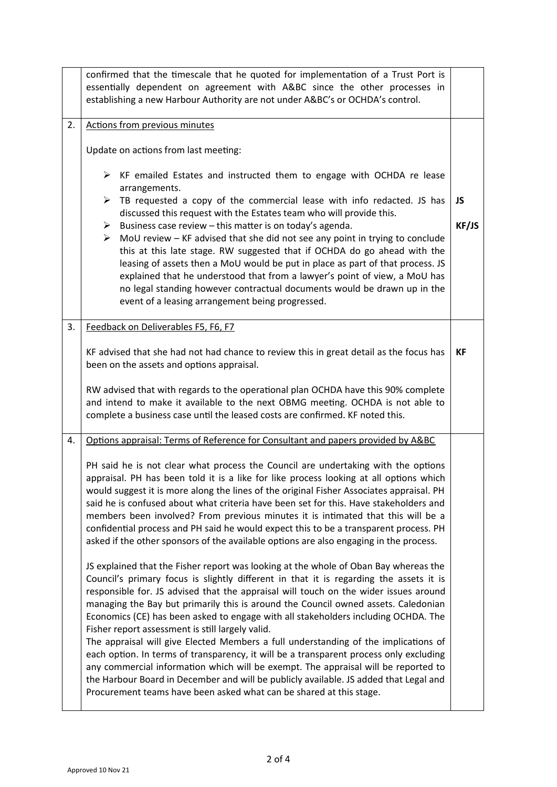|    | confirmed that the timescale that he quoted for implementation of a Trust Port is<br>essentially dependent on agreement with A&BC since the other processes in<br>establishing a new Harbour Authority are not under A&BC's or OCHDA's control.                                                                                                                                                                                                                                                                                                                                                                                                                                                                                                                                                                                                                                                                                               |           |
|----|-----------------------------------------------------------------------------------------------------------------------------------------------------------------------------------------------------------------------------------------------------------------------------------------------------------------------------------------------------------------------------------------------------------------------------------------------------------------------------------------------------------------------------------------------------------------------------------------------------------------------------------------------------------------------------------------------------------------------------------------------------------------------------------------------------------------------------------------------------------------------------------------------------------------------------------------------|-----------|
| 2. | Actions from previous minutes                                                                                                                                                                                                                                                                                                                                                                                                                                                                                                                                                                                                                                                                                                                                                                                                                                                                                                                 |           |
|    | Update on actions from last meeting:                                                                                                                                                                                                                                                                                                                                                                                                                                                                                                                                                                                                                                                                                                                                                                                                                                                                                                          |           |
|    | $\triangleright$ KF emailed Estates and instructed them to engage with OCHDA re lease<br>arrangements.                                                                                                                                                                                                                                                                                                                                                                                                                                                                                                                                                                                                                                                                                                                                                                                                                                        |           |
|    | $\blacktriangleright$<br>TB requested a copy of the commercial lease with info redacted. JS has<br>discussed this request with the Estates team who will provide this.                                                                                                                                                                                                                                                                                                                                                                                                                                                                                                                                                                                                                                                                                                                                                                        | <b>JS</b> |
|    | $\triangleright$ Business case review – this matter is on today's agenda.                                                                                                                                                                                                                                                                                                                                                                                                                                                                                                                                                                                                                                                                                                                                                                                                                                                                     | KF/JS     |
|    | MoU review - KF advised that she did not see any point in trying to conclude<br>➤<br>this at this late stage. RW suggested that if OCHDA do go ahead with the                                                                                                                                                                                                                                                                                                                                                                                                                                                                                                                                                                                                                                                                                                                                                                                 |           |
|    | leasing of assets then a MoU would be put in place as part of that process. JS<br>explained that he understood that from a lawyer's point of view, a MoU has                                                                                                                                                                                                                                                                                                                                                                                                                                                                                                                                                                                                                                                                                                                                                                                  |           |
|    | no legal standing however contractual documents would be drawn up in the                                                                                                                                                                                                                                                                                                                                                                                                                                                                                                                                                                                                                                                                                                                                                                                                                                                                      |           |
|    | event of a leasing arrangement being progressed.                                                                                                                                                                                                                                                                                                                                                                                                                                                                                                                                                                                                                                                                                                                                                                                                                                                                                              |           |
| 3. | Feedback on Deliverables F5, F6, F7                                                                                                                                                                                                                                                                                                                                                                                                                                                                                                                                                                                                                                                                                                                                                                                                                                                                                                           |           |
|    | KF advised that she had not had chance to review this in great detail as the focus has<br>been on the assets and options appraisal.                                                                                                                                                                                                                                                                                                                                                                                                                                                                                                                                                                                                                                                                                                                                                                                                           | <b>KF</b> |
|    | RW advised that with regards to the operational plan OCHDA have this 90% complete<br>and intend to make it available to the next OBMG meeting. OCHDA is not able to<br>complete a business case until the leased costs are confirmed. KF noted this.                                                                                                                                                                                                                                                                                                                                                                                                                                                                                                                                                                                                                                                                                          |           |
| 4. | Options appraisal: Terms of Reference for Consultant and papers provided by A&BC                                                                                                                                                                                                                                                                                                                                                                                                                                                                                                                                                                                                                                                                                                                                                                                                                                                              |           |
|    | PH said he is not clear what process the Council are undertaking with the options<br>appraisal. PH has been told it is a like for like process looking at all options which<br>would suggest it is more along the lines of the original Fisher Associates appraisal. PH<br>said he is confused about what criteria have been set for this. Have stakeholders and<br>members been involved? From previous minutes it is intimated that this will be a<br>confidential process and PH said he would expect this to be a transparent process. PH<br>asked if the other sponsors of the available options are also engaging in the process.                                                                                                                                                                                                                                                                                                       |           |
|    | JS explained that the Fisher report was looking at the whole of Oban Bay whereas the<br>Council's primary focus is slightly different in that it is regarding the assets it is<br>responsible for. JS advised that the appraisal will touch on the wider issues around<br>managing the Bay but primarily this is around the Council owned assets. Caledonian<br>Economics (CE) has been asked to engage with all stakeholders including OCHDA. The<br>Fisher report assessment is still largely valid.<br>The appraisal will give Elected Members a full understanding of the implications of<br>each option. In terms of transparency, it will be a transparent process only excluding<br>any commercial information which will be exempt. The appraisal will be reported to<br>the Harbour Board in December and will be publicly available. JS added that Legal and<br>Procurement teams have been asked what can be shared at this stage. |           |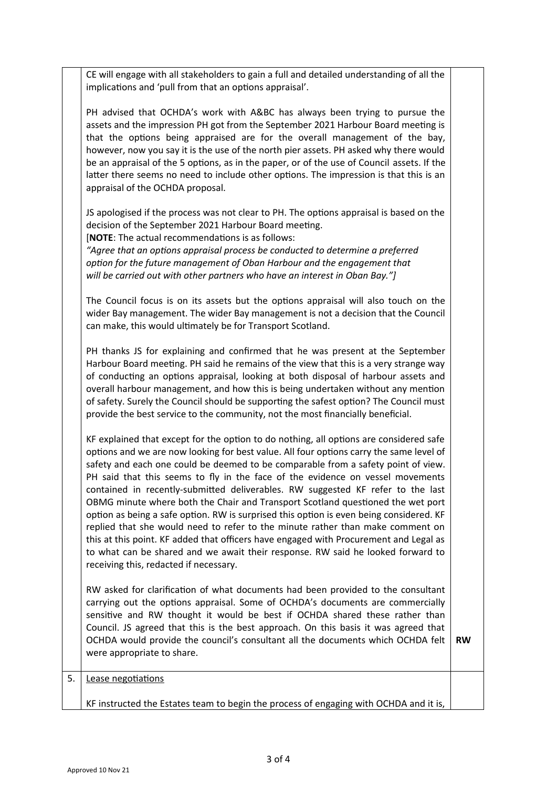CE will engage with all stakeholders to gain a full and detailed understanding of all the implications and 'pull from that an options appraisal'.

PH advised that OCHDA's work with A&BC has always been trying to pursue the assets and the impression PH got from the September 2021 Harbour Board meeting is that the options being appraised are for the overall management of the bay, however, now you say it is the use of the north pier assets. PH asked why there would be an appraisal of the 5 options, as in the paper, or of the use of Council assets. If the latter there seems no need to include other options. The impression is that this is an appraisal of the OCHDA proposal.

JS apologised if the process was not clear to PH. The options appraisal is based on the decision of the September 2021 Harbour Board meeting.

[**NOTE**: The actual recommendations is as follows:

*"Agree that an options appraisal process be conducted to determine a preferred option for the future management of Oban Harbour and the engagement that will be carried out with other partners who have an interest in Oban Bay."]*

The Council focus is on its assets but the options appraisal will also touch on the wider Bay management. The wider Bay management is not a decision that the Council can make, this would ultimately be for Transport Scotland.

PH thanks JS for explaining and confirmed that he was present at the September Harbour Board meeting. PH said he remains of the view that this is a very strange way of conducting an options appraisal, looking at both disposal of harbour assets and overall harbour management, and how this is being undertaken without any mention of safety. Surely the Council should be supporting the safest option? The Council must provide the best service to the community, not the most financially beneficial.

KF explained that except for the option to do nothing, all options are considered safe options and we are now looking for best value. All four options carry the same level of safety and each one could be deemed to be comparable from a safety point of view. PH said that this seems to fly in the face of the evidence on vessel movements contained in recently-submitted deliverables. RW suggested KF refer to the last OBMG minute where both the Chair and Transport Scotland questioned the wet port option as being a safe option. RW is surprised this option is even being considered. KF replied that she would need to refer to the minute rather than make comment on this at this point. KF added that officers have engaged with Procurement and Legal as to what can be shared and we await their response. RW said he looked forward to receiving this, redacted if necessary.

RW asked for clarification of what documents had been provided to the consultant carrying out the options appraisal. Some of OCHDA's documents are commercially sensitive and RW thought it would be best if OCHDA shared these rather than Council. JS agreed that this is the best approach. On this basis it was agreed that OCHDA would provide the council's consultant all the documents which OCHDA felt were appropriate to share. **RW**

### 5. Lease negotiations

KF instructed the Estates team to begin the process of engaging with OCHDA and it is,